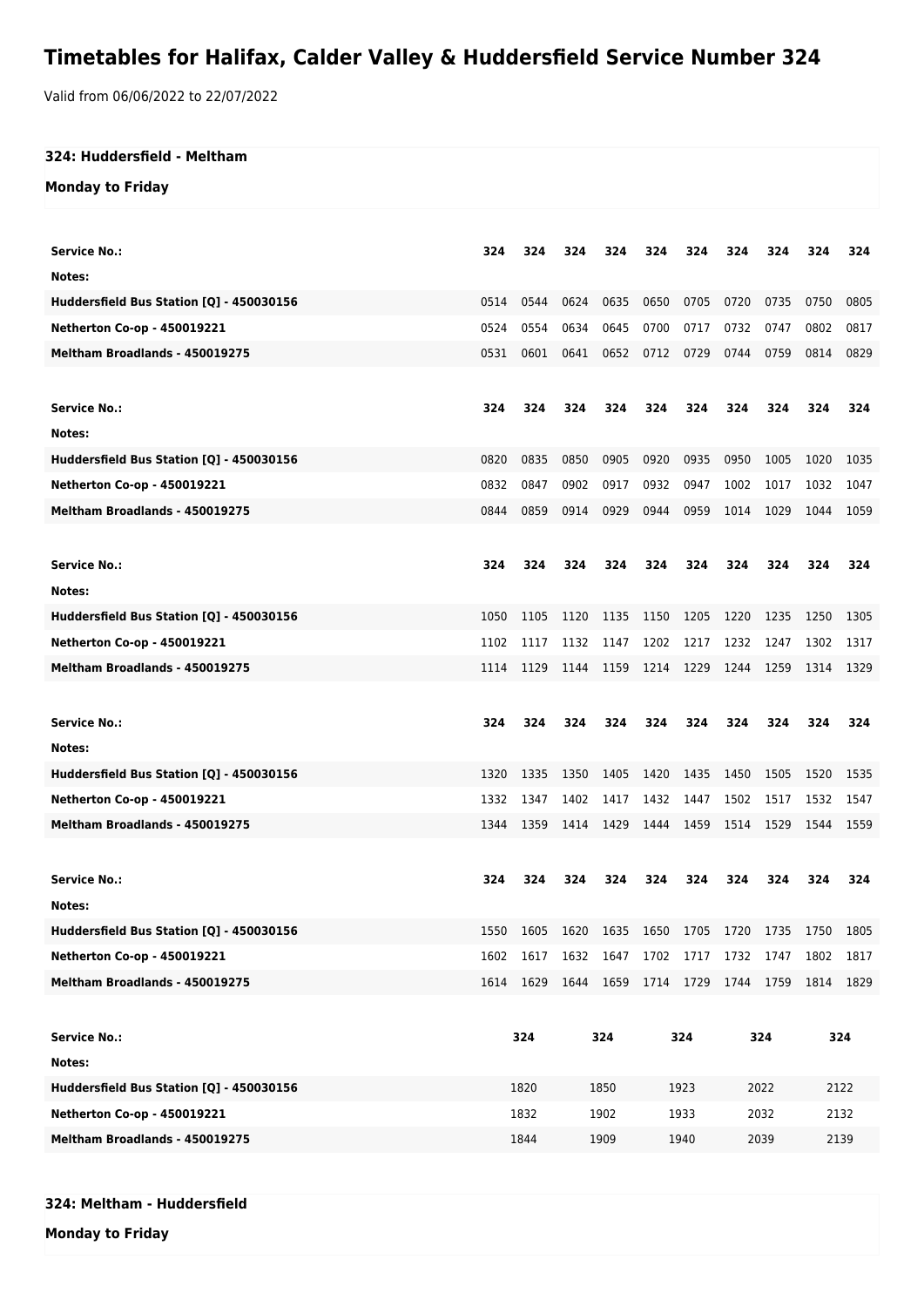## **Timetables for Halifax, Calder Valley & Huddersfield Service Number 324**

Valid from 06/06/2022 to 22/07/2022

## **324: Huddersfield - Meltham**

## **Monday to Friday**

| Service No.:<br>Notes:                   | 324  | 324  | 324            | 324       | 324       | 324            | 324  | 324                 | 324       | 324  |
|------------------------------------------|------|------|----------------|-----------|-----------|----------------|------|---------------------|-----------|------|
|                                          |      |      |                |           |           |                |      |                     |           |      |
| Huddersfield Bus Station [Q] - 450030156 | 0514 | 0544 | 0624           | 0635      | 0650      | 0705           | 0720 | 0735                | 0750      | 0805 |
| <b>Netherton Co-op - 450019221</b>       | 0524 | 0554 | 0634           | 0645      | 0700      | 0717           | 0732 | 0747                | 0802      | 0817 |
| Meltham Broadlands - 450019275           | 0531 | 0601 | 0641           | 0652      | 0712      | 0729           | 0744 | 0759                | 0814      | 0829 |
|                                          |      |      |                |           |           |                |      |                     |           |      |
| <b>Service No.:</b>                      | 324  | 324  | 324            | 324       | 324       | 324            | 324  | 324                 | 324       | 324  |
| Notes:                                   |      |      |                |           |           |                |      |                     |           |      |
| Huddersfield Bus Station [Q] - 450030156 | 0820 | 0835 | 0850           | 0905      | 0920      | 0935           | 0950 | 1005                | 1020      | 1035 |
| Netherton Co-op - 450019221              | 0832 | 0847 | 0902           | 0917      | 0932      | 0947           | 1002 | 1017                | 1032      | 1047 |
| Meltham Broadlands - 450019275           | 0844 | 0859 | 0914           | 0929      | 0944      | 0959           | 1014 | 1029                | 1044      | 1059 |
|                                          |      |      |                |           |           |                |      |                     |           |      |
| <b>Service No.:</b>                      | 324  | 324  | 324            | 324       | 324       | 324            | 324  | 324                 | 324       | 324  |
| Notes:                                   |      |      |                |           |           |                |      |                     |           |      |
| Huddersfield Bus Station [Q] - 450030156 | 1050 | 1105 | 1120           | 1135      | 1150      | 1205           | 1220 | 1235                | 1250      | 1305 |
| Netherton Co-op - 450019221              | 1102 | 1117 | 1132           | 1147      | 1202      | 1217           | 1232 | 1247                | 1302      | 1317 |
| Meltham Broadlands - 450019275           | 1114 | 1129 | 1144           | 1159      | 1214 1229 |                | 1244 | 1259                | 1314      | 1329 |
|                                          |      |      |                |           |           |                |      |                     |           |      |
|                                          |      |      |                |           |           |                |      |                     |           |      |
|                                          |      |      |                |           |           |                |      |                     |           |      |
| <b>Service No.:</b>                      | 324  | 324  | 324            | 324       | 324       | 324            | 324  | 324                 | 324       | 324  |
| Notes:                                   |      |      |                |           |           |                |      |                     |           |      |
| Huddersfield Bus Station [Q] - 450030156 | 1320 | 1335 | 1350           | 1405      | 1420      | 1435           | 1450 | 1505                | 1520      | 1535 |
| Netherton Co-op - 450019221              | 1332 | 1347 | 1402           | 1417      | 1432      | 1447           | 1502 | 1517                | 1532      | 1547 |
| Meltham Broadlands - 450019275           | 1344 | 1359 | 1414           | 1429      | 1444 1459 |                | 1514 | 1529                | 1544      | 1559 |
|                                          |      |      |                |           |           |                |      |                     |           |      |
| <b>Service No.:</b>                      | 324  | 324  | 324            | 324       | 324       | 324            | 324  | 324                 | 324       | 324  |
| Notes:                                   |      |      |                |           |           |                |      |                     |           |      |
| Huddersfield Bus Station [Q] - 450030156 | 1550 |      | 1605 1620 1635 |           |           | 1650 1705 1720 |      | 1735 1750 1805      |           |      |
| Netherton Co-op - 450019221              | 1602 | 1617 | 1632           | 1647      | 1702      | 1717           | 1732 | 1747                | 1802      | 1817 |
| Meltham Broadlands - 450019275           | 1614 | 1629 |                | 1644 1659 |           |                |      | 1714 1729 1744 1759 | 1814 1829 |      |
|                                          |      |      |                |           |           |                |      |                     |           |      |
| <b>Service No.:</b>                      |      | 324  |                | 324       |           | 324            |      | 324                 |           | 324  |
| Notes:                                   |      |      |                |           |           |                |      |                     |           |      |
| Huddersfield Bus Station [Q] - 450030156 |      | 1820 |                | 1850      |           | 1923           |      | 2022                |           | 2122 |
| Netherton Co-op - 450019221              |      | 1832 |                | 1902      |           | 1933           |      | 2032                |           | 2132 |
| Meltham Broadlands - 450019275           |      | 1844 |                | 1909      |           | 1940           |      | 2039                |           | 2139 |

## **324: Meltham - Huddersfield**

**Monday to Friday**